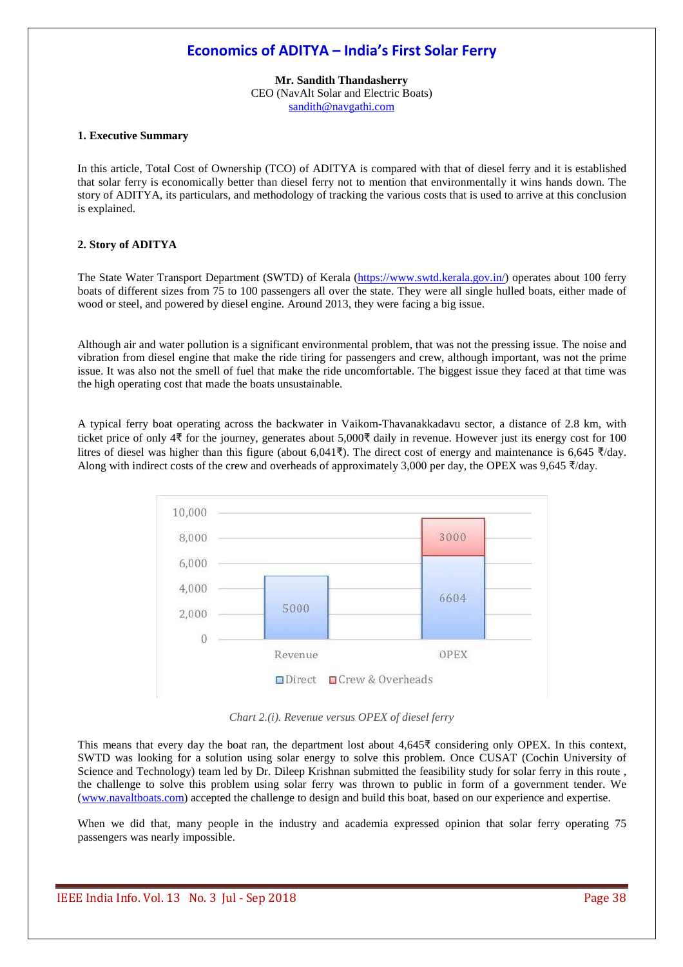# **Economics of ADITYA – India's First Solar Ferry**

**Mr. Sandith Thandasherry**  CEO (NavAlt Solar and Electric Boats) sandith@navgathi.com

## **1. Executive Summary**

In this article, Total Cost of Ownership (TCO) of ADITYA is compared with that of diesel ferry and it is established that solar ferry is economically better than diesel ferry not to mention that environmentally it wins hands down. The story of ADITYA, its particulars, and methodology of tracking the various costs that is used to arrive at this conclusion is explained.

#### **2. Story of ADITYA**

The State Water Transport Department (SWTD) of Kerala (https://www.swtd.kerala.gov.in/) operates about 100 ferry boats of different sizes from 75 to 100 passengers all over the state. They were all single hulled boats, either made of wood or steel, and powered by diesel engine. Around 2013, they were facing a big issue.

Although air and water pollution is a significant environmental problem, that was not the pressing issue. The noise and vibration from diesel engine that make the ride tiring for passengers and crew, although important, was not the prime issue. It was also not the smell of fuel that make the ride uncomfortable. The biggest issue they faced at that time was the high operating cost that made the boats unsustainable.

A typical ferry boat operating across the backwater in Vaikom-Thavanakkadavu sector, a distance of 2.8 km, with ticket price of only 4 $\overline{\xi}$  for the journey, generates about 5,000 $\overline{\xi}$  daily in revenue. However just its energy cost for 100 litres of diesel was higher than this figure (about 6,041 $\bar{\tau}$ ). The direct cost of energy and maintenance is 6,645  $\bar{\tau}/day$ . Along with indirect costs of the crew and overheads of approximately 3,000 per day, the OPEX was 9,645  $\frac{1}{2}$ /day.



*Chart 2.(i). Revenue versus OPEX of diesel ferry*

This means that every day the boat ran, the department lost about  $4.645\overline{5}$  considering only OPEX. In this context, SWTD was looking for a solution using solar energy to solve this problem. Once CUSAT (Cochin University of Science and Technology) team led by Dr. Dileep Krishnan submitted the feasibility study for solar ferry in this route , the challenge to solve this problem using solar ferry was thrown to public in form of a government tender. We (www.navaltboats.com) accepted the challenge to design and build this boat, based on our experience and expertise.

When we did that, many people in the industry and academia expressed opinion that solar ferry operating 75 passengers was nearly impossible.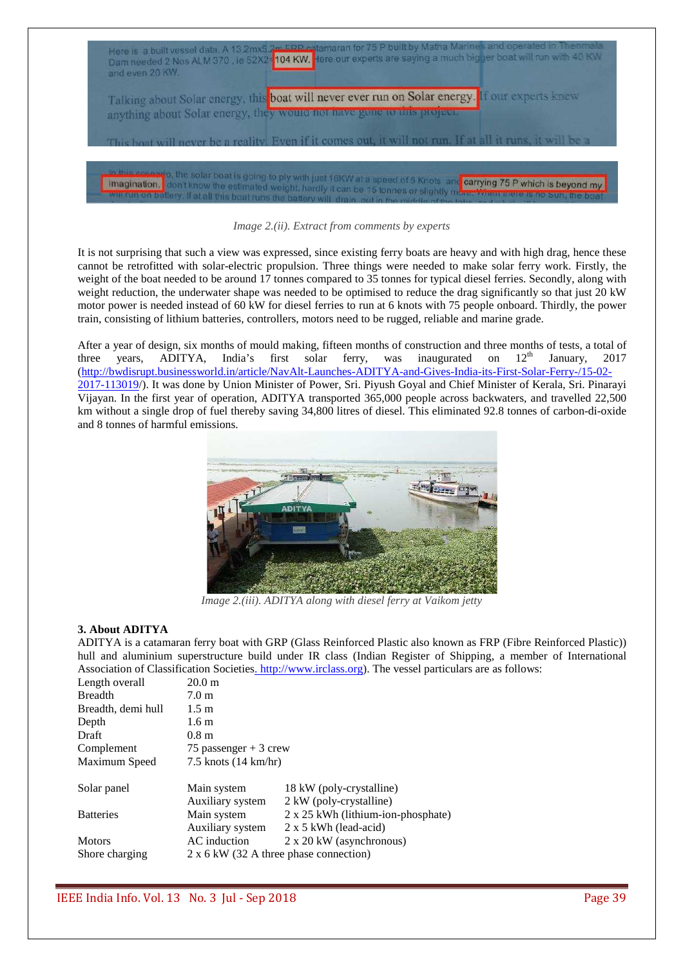

*Image 2.(ii). Extract from comments by experts*

It is not surprising that such a view was expressed, since existing ferry boats are heavy and with high drag, hence these cannot be retrofitted with solar-electric propulsion. Three things were needed to make solar ferry work. Firstly, the weight of the boat needed to be around 17 tonnes compared to 35 tonnes for typical diesel ferries. Secondly, along with weight reduction, the underwater shape was needed to be optimised to reduce the drag significantly so that just 20 kW motor power is needed instead of 60 kW for diesel ferries to run at 6 knots with 75 people onboard. Thirdly, the power train, consisting of lithium batteries, controllers, motors need to be rugged, reliable and marine grade.

After a year of design, six months of mould making, fifteen months of construction and three months of tests, a total of three vears. ADITYA. India's first solar ferry, was inaugurated on  $12<sup>th</sup>$  January. 2017 three years, ADITYA, India's first solar ferry, was inaugurated on  $12<sup>th</sup>$  January, 2017 (http://bwdisrupt.businessworld.in/article/NavAlt-Launches-ADITYA-and-Gives-India-its-First-Solar-Ferry-/15-02- 2017-113019/). It was done by Union Minister of Power, Sri. Piyush Goyal and Chief Minister of Kerala, Sri. Pinarayi Vijayan. In the first year of operation, ADITYA transported 365,000 people across backwaters, and travelled 22,500 km without a single drop of fuel thereby saving 34,800 litres of diesel. This eliminated 92.8 tonnes of carbon-di-oxide and 8 tonnes of harmful emissions.



*Image 2.(iii). ADITYA along with diesel ferry at Vaikom jetty*

#### **3. About ADITYA**

ADITYA is a catamaran ferry boat with GRP (Glass Reinforced Plastic also known as FRP (Fibre Reinforced Plastic)) hull and aluminium superstructure build under IR class (Indian Register of Shipping, a member of International Association of Classification Societies. http://www.irclass.org). The vessel particulars are as follows:

| Length overall     | 20.0 <sub>m</sub>                      |                                    |
|--------------------|----------------------------------------|------------------------------------|
| <b>Breadth</b>     | 7.0 <sub>m</sub>                       |                                    |
| Breadth, demi hull | 1.5 m                                  |                                    |
| Depth              | 1.6 <sub>m</sub>                       |                                    |
| Draft              | 0.8 <sub>m</sub>                       |                                    |
| Complement         | 75 passenger $+3$ crew                 |                                    |
| Maximum Speed      | $7.5$ knots $(14 \text{ km/hr})$       |                                    |
|                    |                                        |                                    |
| Solar panel        | Main system                            | 18 kW (poly-crystalline)           |
|                    | Auxiliary system                       | 2 kW (poly-crystalline)            |
| <b>Batteries</b>   | Main system                            | 2 x 25 kWh (lithium-ion-phosphate) |
|                    | Auxiliary system                       | $2 \times 5$ kWh (lead-acid)       |
| <b>Motors</b>      | AC induction                           | $2 \times 20$ kW (asynchronous)    |
| Shore charging     | 2 x 6 kW (32 A three phase connection) |                                    |
|                    |                                        |                                    |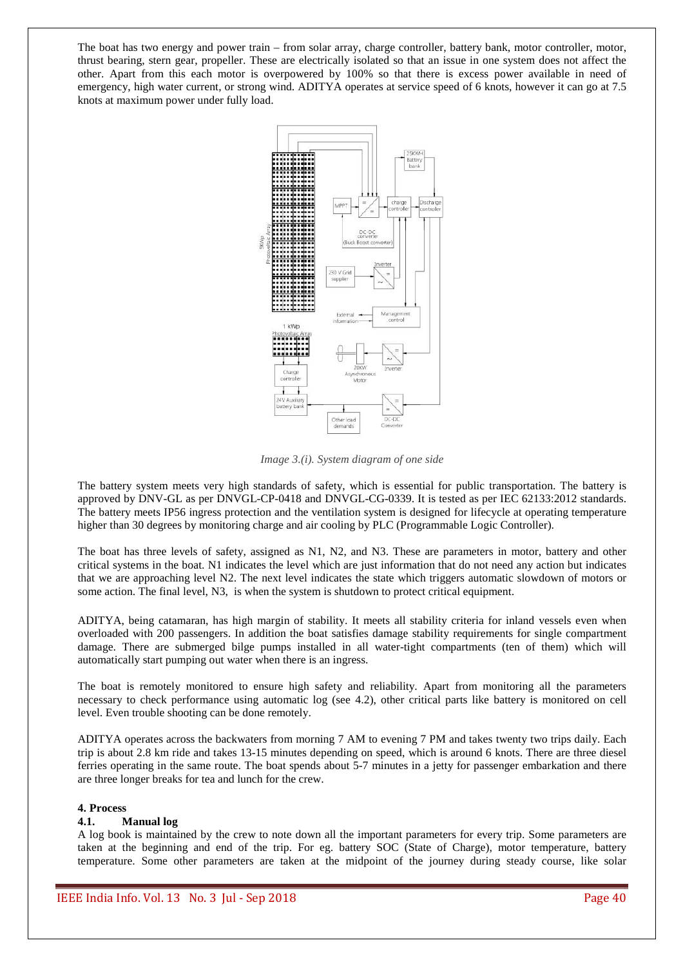The boat has two energy and power train – from solar array, charge controller, battery bank, motor controller, motor, thrust bearing, stern gear, propeller. These are electrically isolated so that an issue in one system does not affect the other. Apart from this each motor is overpowered by 100% so that there is excess power available in need of emergency, high water current, or strong wind. ADITYA operates at service speed of 6 knots, however it can go at 7.5 knots at maximum power under fully load.



*Image 3.(i). System diagram of one side* 

The battery system meets very high standards of safety, which is essential for public transportation. The battery is approved by DNV-GL as per DNVGL-CP-0418 and DNVGL-CG-0339. It is tested as per IEC 62133:2012 standards. The battery meets IP56 ingress protection and the ventilation system is designed for lifecycle at operating temperature higher than 30 degrees by monitoring charge and air cooling by PLC (Programmable Logic Controller).

The boat has three levels of safety, assigned as N1, N2, and N3. These are parameters in motor, battery and other critical systems in the boat. N1 indicates the level which are just information that do not need any action but indicates that we are approaching level N2. The next level indicates the state which triggers automatic slowdown of motors or some action. The final level, N3, is when the system is shutdown to protect critical equipment.

ADITYA, being catamaran, has high margin of stability. It meets all stability criteria for inland vessels even when overloaded with 200 passengers. In addition the boat satisfies damage stability requirements for single compartment damage. There are submerged bilge pumps installed in all water-tight compartments (ten of them) which will automatically start pumping out water when there is an ingress.

The boat is remotely monitored to ensure high safety and reliability. Apart from monitoring all the parameters necessary to check performance using automatic log (see 4.2), other critical parts like battery is monitored on cell level. Even trouble shooting can be done remotely.

ADITYA operates across the backwaters from morning 7 AM to evening 7 PM and takes twenty two trips daily. Each trip is about 2.8 km ride and takes 13-15 minutes depending on speed, which is around 6 knots. There are three diesel ferries operating in the same route. The boat spends about 5-7 minutes in a jetty for passenger embarkation and there are three longer breaks for tea and lunch for the crew.

#### **4. Process**

#### **4.1. Manual log**

A log book is maintained by the crew to note down all the important parameters for every trip. Some parameters are taken at the beginning and end of the trip. For eg. battery SOC (State of Charge), motor temperature, battery temperature. Some other parameters are taken at the midpoint of the journey during steady course, like solar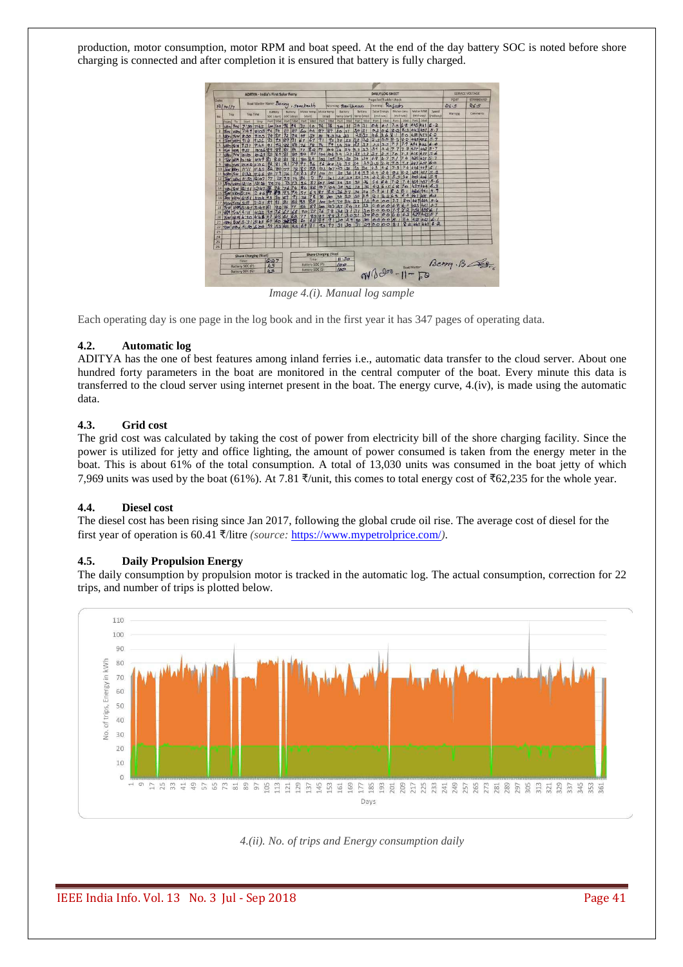production, motor consumption, motor RPM and boat speed. At the end of the day battery SOC is noted before shore charging is connected and after completion it is ensured that battery is fully charged.



*Image 4.(i). Manual log sample* 

Each operating day is one page in the log book and in the first year it has 347 pages of operating data.

#### **4.2. Automatic log**

ADITYA has the one of best features among inland ferries i.e., automatic data transfer to the cloud server. About one hundred forty parameters in the boat are monitored in the central computer of the boat. Every minute this data is transferred to the cloud server using internet present in the boat. The energy curve, 4.(iv), is made using the automatic data.

## **4.3. Grid cost**

The grid cost was calculated by taking the cost of power from electricity bill of the shore charging facility. Since the power is utilized for jetty and office lighting, the amount of power consumed is taken from the energy meter in the boat. This is about 61% of the total consumption. A total of 13,030 units was consumed in the boat jetty of which 7,969 units was used by the boat (61%). At 7.81  $\frac{3}{2}$ unit, this comes to total energy cost of  $\frac{362,235}{10}$  for the whole year.

#### **4.4. Diesel cost**

The diesel cost has been rising since Jan 2017, following the global crude oil rise. The average cost of diesel for the first year of operation is 60.41 ₹/litre *(source:* https://www.mypetrolprice.com/).

#### **4.5. Daily Propulsion Energy**

The daily consumption by propulsion motor is tracked in the automatic log. The actual consumption, correction for 22 trips, and number of trips is plotted below.



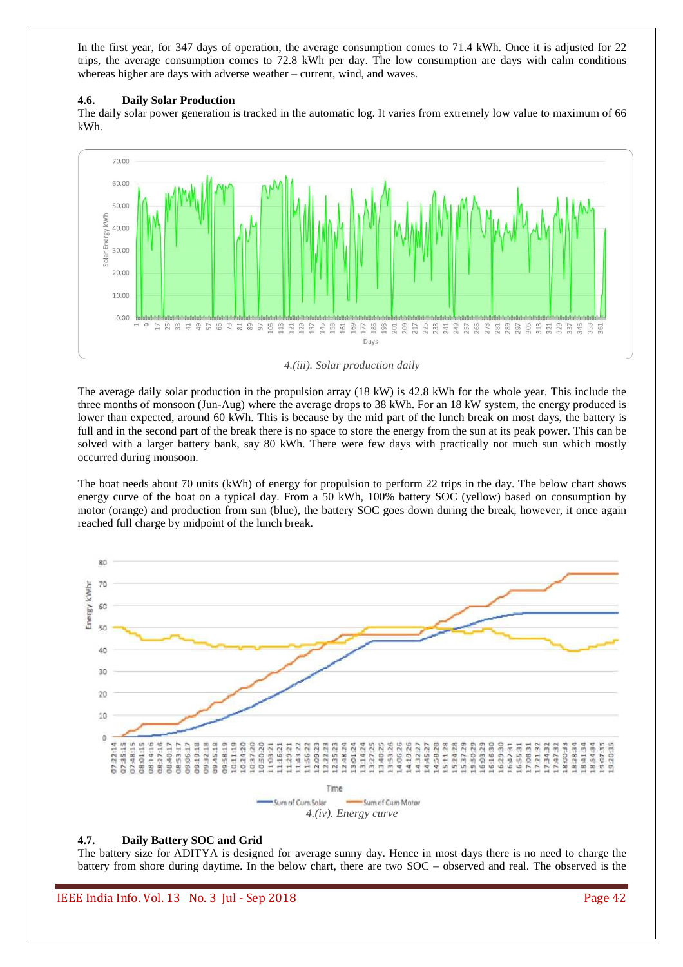In the first year, for 347 days of operation, the average consumption comes to 71.4 kWh. Once it is adjusted for 22 trips, the average consumption comes to 72.8 kWh per day. The low consumption are days with calm conditions whereas higher are days with adverse weather – current, wind, and waves.

#### **4.6. Daily Solar Production**

The daily solar power generation is tracked in the automatic log. It varies from extremely low value to maximum of 66 kWh.



*4.(iii). Solar production daily* 

The average daily solar production in the propulsion array (18 kW) is 42.8 kWh for the whole year. This include the three months of monsoon (Jun-Aug) where the average drops to 38 kWh. For an 18 kW system, the energy produced is lower than expected, around 60 kWh. This is because by the mid part of the lunch break on most days, the battery is full and in the second part of the break there is no space to store the energy from the sun at its peak power. This can be solved with a larger battery bank, say 80 kWh. There were few days with practically not much sun which mostly occurred during monsoon.

The boat needs about 70 units (kWh) of energy for propulsion to perform 22 trips in the day. The below chart shows energy curve of the boat on a typical day. From a 50 kWh, 100% battery SOC (yellow) based on consumption by motor (orange) and production from sun (blue), the battery SOC goes down during the break, however, it once again reached full charge by midpoint of the lunch break.



#### **4.7. Daily Battery SOC and Grid**

The battery size for ADITYA is designed for average sunny day. Hence in most days there is no need to charge the battery from shore during daytime. In the below chart, there are two SOC – observed and real. The observed is the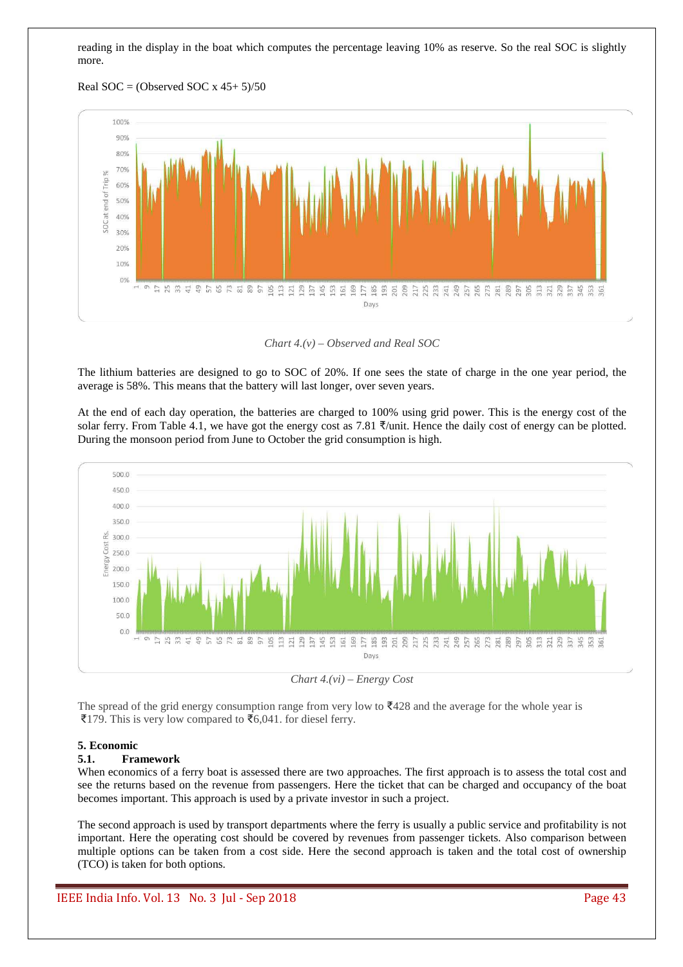reading in the display in the boat which computes the percentage leaving 10% as reserve. So the real SOC is slightly more.





*Chart 4.(v) – Observed and Real SOC* 

The lithium batteries are designed to go to SOC of 20%. If one sees the state of charge in the one year period, the average is 58%. This means that the battery will last longer, over seven years.

At the end of each day operation, the batteries are charged to 100% using grid power. This is the energy cost of the solar ferry. From Table 4.1, we have got the energy cost as 7.81  $\frac{1}{2}$ /unit. Hence the daily cost of energy can be plotted. During the monsoon period from June to October the grid consumption is high.



*Chart 4.(vi) – Energy Cost* 

The spread of the grid energy consumption range from very low to  $\overline{3}428$  and the average for the whole year is ₹179. This is very low compared to ₹6,041. for diesel ferry.

#### **5. Economic**

#### **5.1. Framework**

When economics of a ferry boat is assessed there are two approaches. The first approach is to assess the total cost and see the returns based on the revenue from passengers. Here the ticket that can be charged and occupancy of the boat becomes important. This approach is used by a private investor in such a project.

The second approach is used by transport departments where the ferry is usually a public service and profitability is not important. Here the operating cost should be covered by revenues from passenger tickets. Also comparison between multiple options can be taken from a cost side. Here the second approach is taken and the total cost of ownership (TCO) is taken for both options.

IEEE India Info. Vol. 13 No. 3 Jul - Sep 2018 Page 43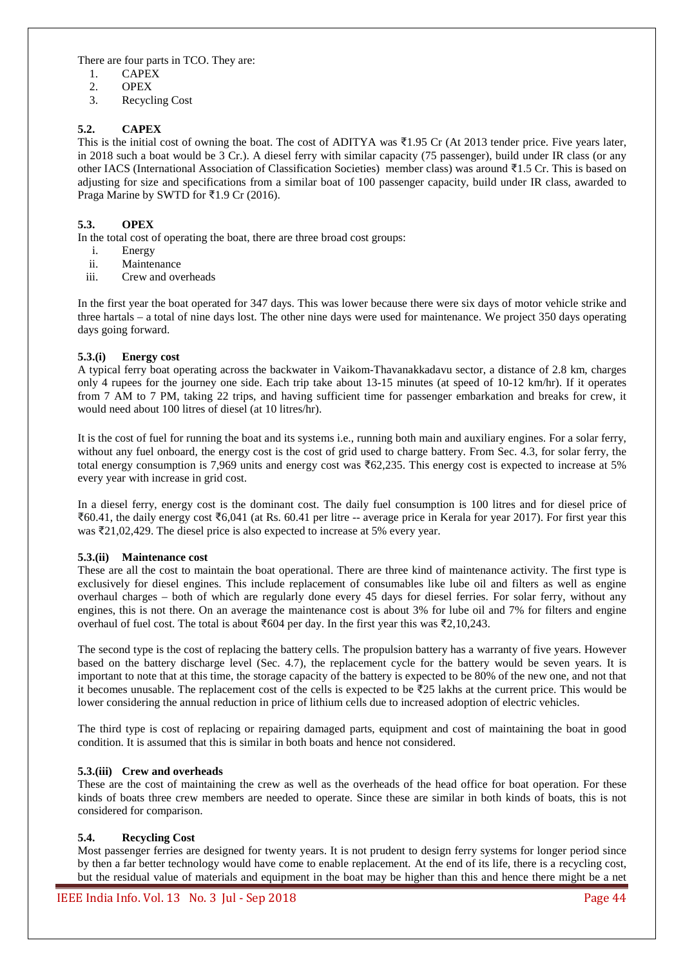There are four parts in TCO. They are:

- 1. CAPEX
- 2. OPEX
- 3. Recycling Cost

# **5.2. CAPEX**

This is the initial cost of owning the boat. The cost of ADITYA was ₹1.95 Cr (At 2013 tender price. Five years later, in 2018 such a boat would be 3 Cr.). A diesel ferry with similar capacity (75 passenger), build under IR class (or any other IACS (International Association of Classification Societies) member class) was around ₹1.5 Cr. This is based on adjusting for size and specifications from a similar boat of 100 passenger capacity, build under IR class, awarded to Praga Marine by SWTD for ₹1.9 Cr (2016).

# **5.3. OPEX**

In the total cost of operating the boat, there are three broad cost groups:

- i. Energy
- ii. Maintenance
- iii. Crew and overheads

In the first year the boat operated for 347 days. This was lower because there were six days of motor vehicle strike and three hartals – a total of nine days lost. The other nine days were used for maintenance. We project 350 days operating days going forward.

## **5.3.(i) Energy cost**

A typical ferry boat operating across the backwater in Vaikom-Thavanakkadavu sector, a distance of 2.8 km, charges only 4 rupees for the journey one side. Each trip take about 13-15 minutes (at speed of 10-12 km/hr). If it operates from 7 AM to 7 PM, taking 22 trips, and having sufficient time for passenger embarkation and breaks for crew, it would need about 100 litres of diesel (at 10 litres/hr).

It is the cost of fuel for running the boat and its systems i.e., running both main and auxiliary engines. For a solar ferry, without any fuel onboard, the energy cost is the cost of grid used to charge battery. From Sec. 4.3, for solar ferry, the total energy consumption is 7,969 units and energy cost was ₹62,235. This energy cost is expected to increase at 5% every year with increase in grid cost.

In a diesel ferry, energy cost is the dominant cost. The daily fuel consumption is 100 litres and for diesel price of ₹60.41, the daily energy cost ₹6,041 (at Rs. 60.41 per litre -- average price in Kerala for year 2017). For first year this was ₹21,02,429. The diesel price is also expected to increase at 5% every year.

#### **5.3.(ii) Maintenance cost**

These are all the cost to maintain the boat operational. There are three kind of maintenance activity. The first type is exclusively for diesel engines. This include replacement of consumables like lube oil and filters as well as engine overhaul charges – both of which are regularly done every 45 days for diesel ferries. For solar ferry, without any engines, this is not there. On an average the maintenance cost is about 3% for lube oil and 7% for filters and engine overhaul of fuel cost. The total is about ₹604 per day. In the first year this was ₹2,10,243.

The second type is the cost of replacing the battery cells. The propulsion battery has a warranty of five years. However based on the battery discharge level (Sec. 4.7), the replacement cycle for the battery would be seven years. It is important to note that at this time, the storage capacity of the battery is expected to be 80% of the new one, and not that it becomes unusable. The replacement cost of the cells is expected to be ₹25 lakhs at the current price. This would be lower considering the annual reduction in price of lithium cells due to increased adoption of electric vehicles.

The third type is cost of replacing or repairing damaged parts, equipment and cost of maintaining the boat in good condition. It is assumed that this is similar in both boats and hence not considered.

## **5.3.(iii) Crew and overheads**

These are the cost of maintaining the crew as well as the overheads of the head office for boat operation. For these kinds of boats three crew members are needed to operate. Since these are similar in both kinds of boats, this is not considered for comparison.

#### **5.4. Recycling Cost**

Most passenger ferries are designed for twenty years. It is not prudent to design ferry systems for longer period since by then a far better technology would have come to enable replacement. At the end of its life, there is a recycling cost, but the residual value of materials and equipment in the boat may be higher than this and hence there might be a net